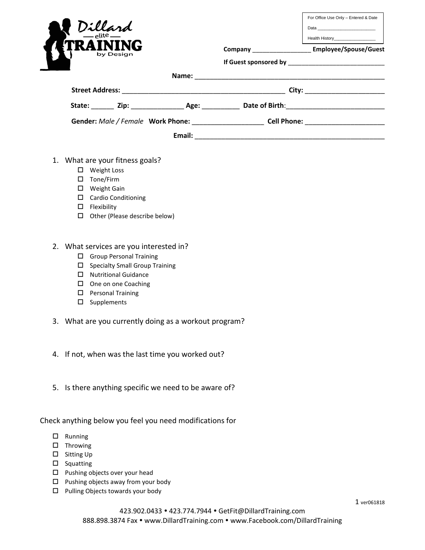| Dillard<br>by Design |  |        |                                               | For Office Use Only - Entered & Date<br>Health History_____________________<br>Company Employee/Spouse/Guest |
|----------------------|--|--------|-----------------------------------------------|--------------------------------------------------------------------------------------------------------------|
|                      |  |        |                                               |                                                                                                              |
| Name:                |  |        | City: ________________________                |                                                                                                              |
|                      |  |        |                                               | State: Zip: Age: Date of Birth:                                                                              |
|                      |  |        | Gender: Male / Female Work Phone: Cell Phone: |                                                                                                              |
|                      |  | Email: |                                               |                                                                                                              |

- 1. What are your fitness goals?
	- Weight Loss
	- □ Tone/Firm
	- Weight Gain
	- Cardio Conditioning
	- $\square$  Flexibility
	- $\Box$  Other (Please describe below)
- 2. What services are you interested in?
	- Group Personal Training
	- $\square$  Specialty Small Group Training
	- Nutritional Guidance
	- $\square$  One on one Coaching
	- **D** Personal Training
	- $\square$  Supplements
- 3. What are you currently doing as a workout program?
- 4. If not, when was the last time you worked out?
- 5. Is there anything specific we need to be aware of?

Check anything below you feel you need modifications for

- $\square$  Running
- $\square$  Throwing
- □ Sitting Up
- $\square$  Squatting
- $\square$  Pushing objects over your head
- $\square$  Pushing objects away from your body
- $\Box$  Pulling Objects towards your body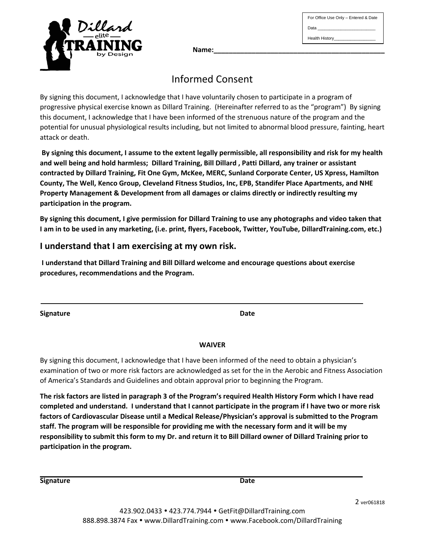Health History\_\_\_\_\_\_\_\_\_\_\_\_\_\_\_\_\_\_

For Office Use Only – Entered & Date

Data



**Name:\_\_\_\_\_\_\_\_\_\_\_\_\_\_\_\_\_\_\_\_\_\_\_\_\_\_\_\_\_\_\_\_\_\_\_\_\_\_\_\_\_\_\_\_\_**

# Informed Consent

By signing this document, I acknowledge that I have voluntarily chosen to participate in a program of progressive physical exercise known as Dillard Training. (Hereinafter referred to as the "program") By signing this document, I acknowledge that I have been informed of the strenuous nature of the program and the potential for unusual physiological results including, but not limited to abnormal blood pressure, fainting, heart attack or death.

**By signing this document, I assume to the extent legally permissible, all responsibility and risk for my health and well being and hold harmless; Dillard Training, Bill Dillard , Patti Dillard, any trainer or assistant contracted by Dillard Training, Fit One Gym, McKee, MERC, Sunland Corporate Center, US Xpress, Hamilton County, The Well, Kenco Group, Cleveland Fitness Studios, Inc, EPB, Standifer Place Apartments, and NHE Property Management & Development from all damages or claims directly or indirectly resulting my participation in the program.** 

**By signing this document, I give permission for Dillard Training to use any photographs and video taken that I am in to be used in any marketing, (i.e. print, flyers, Facebook, Twitter, YouTube, DillardTraining.com, etc.)**

# **I understand that I am exercising at my own risk.**

**I understand that Dillard Training and Bill Dillard welcome and encourage questions about exercise procedures, recommendations and the Program.**

**Signature Date**

# **WAIVER**

By signing this document, I acknowledge that I have been informed of the need to obtain a physician's examination of two or more risk factors are acknowledged as set for the in the Aerobic and Fitness Association of America's Standards and Guidelines and obtain approval prior to beginning the Program.

**The risk factors are listed in paragraph 3 of the Program's required Health History Form which I have read completed and understand. I understand that I cannot participate in the program if I have two or more risk factors of Cardiovascular Disease until a Medical Release/Physician's approval is submitted to the Program staff. The program will be responsible for providing me with the necessary form and it will be my responsibility to submit this form to my Dr. and return it to Bill Dillard owner of Dillard Training prior to participation in the program.**

**Signature Date Date Date Date Date Date Date** 

2 ver061818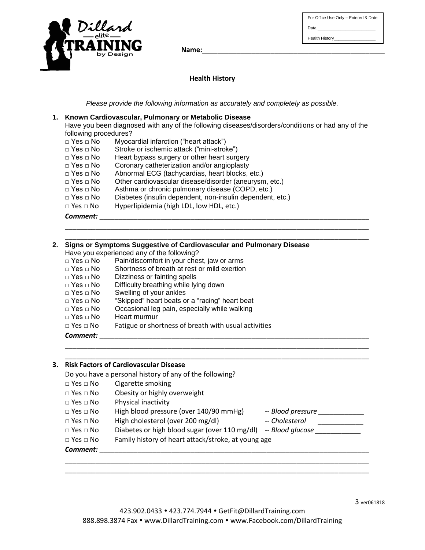For Office Use Only – Entered & Date Data Health History\_\_\_\_\_



Name: **With a set of the set of the set of the set of the set of the set of the set of the set of the set of the set of the set of the set of the set of the set of the set of the set of the set of the set of the set of the** 

## **Health History**

*Please provide the following information as accurately and completely as possible.*

#### **1. Known Cardiovascular, Pulmonary or Metabolic Disease**

Have you been diagnosed with any of the following diseases/disorders/conditions or had any of the following procedures?

\_\_\_\_\_\_\_\_\_\_\_\_\_\_\_\_\_\_\_\_\_\_\_\_\_\_\_\_\_\_\_\_\_\_\_\_\_\_\_\_\_\_\_\_\_\_\_\_\_\_\_\_\_\_\_\_\_\_\_\_\_\_\_\_\_\_\_\_\_\_\_\_\_\_\_\_\_\_\_\_ \_\_\_\_\_\_\_\_\_\_\_\_\_\_\_\_\_\_\_\_\_\_\_\_\_\_\_\_\_\_\_\_\_\_\_\_\_\_\_\_\_\_\_\_\_\_\_\_\_\_\_\_\_\_\_\_\_\_\_\_\_\_\_\_\_\_\_\_\_\_\_\_\_\_\_\_\_\_\_\_

- □ Yes □ No Myocardial infarction ("heart attack")
- □ Yes □ No Stroke or ischemic attack ("mini-stroke")
- □ Yes □ No Heart bypass surgery or other heart surgery
- □ Yes □ No Coronary catheterization and/or angioplasty
- □ Yes □ No Abnormal ECG (tachycardias, heart blocks, etc.)
- □ Yes □ No Other cardiovascular disease/disorder (aneurysm, etc.)
- □ Yes □ No Asthma or chronic pulmonary disease (COPD, etc.)
- □ Yes □ No Diabetes (insulin dependent, non-insulin dependent, etc.)
- □ Yes □ No Hyperlipidemia (high LDL, low HDL, etc.)

*Comment:* \_\_\_\_\_\_\_\_\_\_\_\_\_\_\_\_\_\_\_\_\_\_\_\_\_\_\_\_\_\_\_\_\_\_\_\_\_\_\_\_\_\_\_\_\_\_\_\_\_\_\_\_\_\_\_\_\_\_\_\_\_\_\_\_\_\_\_\_\_\_\_

#### **2. Signs or Symptoms Suggestive of Cardiovascular and Pulmonary Disease** Have you experienced any of the following? University of the conservating.<br>□ Yes □ No Dain/discomfort in your chect, jour or arms

| $\sqcap$ res $\sqcap$ INO.        | Pain/discomort in your chest, law or arms            |
|-----------------------------------|------------------------------------------------------|
| □ Yes □ No                        | Shortness of breath at rest or mild exertion         |
| $\sqcap$ Yes $\sqcap$ No $\sqcap$ | Dizziness or fainting spells                         |
| $\sqcap$ Yes $\sqcap$ No          | Difficulty breathing while lying down                |
| □ Yes  □ No                       | Swelling of your ankles                              |
| □ Yes  □ No                       | "Skipped" heart beats or a "racing" heart beat       |
| $\sqcap$ Yes $\sqcap$ No          | Occasional leg pain, especially while walking        |
| □ Yes  □ No                       | Heart murmur                                         |
| $\Box$ Yes $\Box$ No              | Fatigue or shortness of breath with usual activities |
| Comment:                          |                                                      |

# \_\_\_\_\_\_\_\_\_\_\_\_\_\_\_\_\_\_\_\_\_\_\_\_\_\_\_\_\_\_\_\_\_\_\_\_\_\_\_\_\_\_\_\_\_\_\_\_\_\_\_\_\_\_\_\_\_\_\_\_\_\_\_\_\_\_\_\_\_\_\_\_\_\_\_\_\_\_\_\_ **3. Risk Factors of Cardiovascular Disease** Do you have a personal history of any of the following? □ Yes □ No Cigarette smoking □ Yes □ No Obesity or highly overweight □ Yes □ No Physical inactivity □ Yes □ No High blood pressure (over 140/90 mmHg) -- *Blood pressure \_\_\_\_\_\_\_\_\_\_\_\_* □ Yes □ No High cholesterol (over 200 mg/dl) -- *Cholesterol* □ Yes □ No Diabetes or high blood sugar (over 110 mg/dl) -- *Blood glucose* □ Yes □ No Family history of heart attack/stroke, at young age  ${\it Comment:}$ \_\_\_\_\_\_\_\_\_\_\_\_\_\_\_\_\_\_\_\_\_\_\_\_\_\_\_\_\_\_\_\_\_\_\_\_\_\_\_\_\_\_\_\_\_\_\_\_\_\_\_\_\_\_\_\_\_\_\_\_\_\_\_\_\_\_\_\_\_\_\_\_\_\_\_\_\_\_\_\_

\_\_\_\_\_\_\_\_\_\_\_\_\_\_\_\_\_\_\_\_\_\_\_\_\_\_\_\_\_\_\_\_\_\_\_\_\_\_\_\_\_\_\_\_\_\_\_\_\_\_\_\_\_\_\_\_\_\_\_\_\_\_\_\_\_\_\_\_\_\_\_\_\_\_\_\_\_\_\_\_

\_\_\_\_\_\_\_\_\_\_\_\_\_\_\_\_\_\_\_\_\_\_\_\_\_\_\_\_\_\_\_\_\_\_\_\_\_\_\_\_\_\_\_\_\_\_\_\_\_\_\_\_\_\_\_\_\_\_\_\_\_\_\_\_\_\_\_\_\_\_\_\_\_\_\_\_\_\_\_\_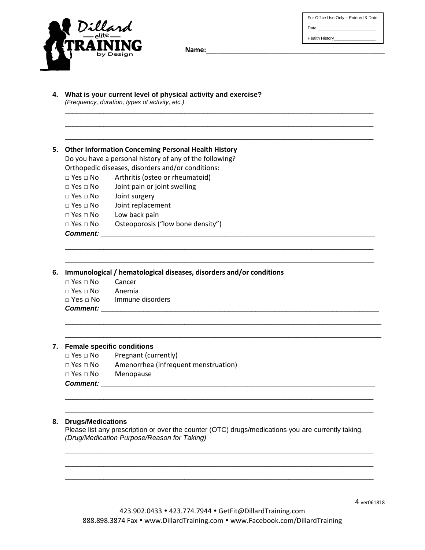For Office Use Only – Entered & Date

Data

Health History\_\_\_\_\_\_



Name:

\_\_\_\_\_\_\_\_\_\_\_\_\_\_\_\_\_\_\_\_\_\_\_\_\_\_\_\_\_\_\_\_\_\_\_\_\_\_\_\_\_\_\_\_\_\_\_\_\_\_\_\_\_\_\_\_\_\_\_\_\_\_\_\_\_\_\_\_\_\_\_\_\_\_\_\_\_\_\_\_ \_\_\_\_\_\_\_\_\_\_\_\_\_\_\_\_\_\_\_\_\_\_\_\_\_\_\_\_\_\_\_\_\_\_\_\_\_\_\_\_\_\_\_\_\_\_\_\_\_\_\_\_\_\_\_\_\_\_\_\_\_\_\_\_\_\_\_\_\_\_\_\_\_\_\_\_\_\_\_\_ \_\_\_\_\_\_\_\_\_\_\_\_\_\_\_\_\_\_\_\_\_\_\_\_\_\_\_\_\_\_\_\_\_\_\_\_\_\_\_\_\_\_\_\_\_\_\_\_\_\_\_\_\_\_\_\_\_\_\_\_\_\_\_\_\_\_\_\_\_\_\_\_\_\_\_\_\_\_\_\_

\_\_\_\_\_\_\_\_\_\_\_\_\_\_\_\_\_\_\_\_\_\_\_\_\_\_\_\_\_\_\_\_\_\_\_\_\_\_\_\_\_\_\_\_\_\_\_\_\_\_\_\_\_\_\_\_\_\_\_\_\_\_\_\_\_\_\_\_\_\_\_\_\_\_\_\_\_\_\_\_ \_\_\_\_\_\_\_\_\_\_\_\_\_\_\_\_\_\_\_\_\_\_\_\_\_\_\_\_\_\_\_\_\_\_\_\_\_\_\_\_\_\_\_\_\_\_\_\_\_\_\_\_\_\_\_\_\_\_\_\_\_\_\_\_\_\_\_\_\_\_\_\_\_\_\_\_\_\_\_\_

\_\_\_\_\_\_\_\_\_\_\_\_\_\_\_\_\_\_\_\_\_\_\_\_\_\_\_\_\_\_\_\_\_\_\_\_\_\_\_\_\_\_\_\_\_\_\_\_\_\_\_\_\_\_\_\_\_\_\_\_\_\_\_\_\_\_\_\_\_\_\_\_\_\_\_\_\_\_\_\_\_\_ \_\_\_\_\_\_\_\_\_\_\_\_\_\_\_\_\_\_\_\_\_\_\_\_\_\_\_\_\_\_\_\_\_\_\_\_\_\_\_\_\_\_\_\_\_\_\_\_\_\_\_\_\_\_\_\_\_\_\_\_\_\_\_\_\_\_\_\_\_\_\_\_\_\_\_\_\_\_\_\_\_\_

- **4. What is your current level of physical activity and exercise?**  *(Frequency, duration, types of activity, etc.)*
- **5. Other Information Concerning Personal Health History**

Do you have a personal history of any of the following? Orthopedic diseases, disorders and/or conditions:

□ Yes □ No Arthritis (osteo or rheumatoid)

- □ Yes □ No Joint pain or joint swelling
- □ Yes □ No Joint surgery
- □ Yes □ No Joint replacement
- □ Yes □ No Low back pain
- □ Yes □ No Osteoporosis ("low bone density")

#### Comment:

**6. Immunological / hematological diseases, disorders and/or conditions**

| $\Box$ Yes $\Box$ No | Cancer           |
|----------------------|------------------|
| $\Box$ Yes $\Box$ No | – Anemia         |
| □ Yes  □ No          | Immune disorders |
| <b>Comment:</b>      |                  |

#### **7. Female specific conditions**

- □ Yes □ No Pregnant (currently)
- □ Yes □ No Amenorrhea (infrequent menstruation)
- □ Yes □ No Menopause
- *Comment:* \_\_\_\_\_\_\_\_\_\_\_\_\_\_\_\_\_\_\_\_\_\_\_\_\_\_\_\_\_\_\_\_\_\_\_\_\_\_\_\_\_\_\_\_\_\_\_\_\_\_\_\_\_\_\_\_\_\_\_\_\_\_\_\_\_\_\_\_\_\_\_

#### **8. Drugs/Medications**

Please list any prescription or over the counter (OTC) drugs/medications you are currently taking. *(Drug/Medication Purpose/Reason for Taking)*

\_\_\_\_\_\_\_\_\_\_\_\_\_\_\_\_\_\_\_\_\_\_\_\_\_\_\_\_\_\_\_\_\_\_\_\_\_\_\_\_\_\_\_\_\_\_\_\_\_\_\_\_\_\_\_\_\_\_\_\_\_\_\_\_\_\_\_\_\_\_\_\_\_\_\_\_\_\_\_\_ \_\_\_\_\_\_\_\_\_\_\_\_\_\_\_\_\_\_\_\_\_\_\_\_\_\_\_\_\_\_\_\_\_\_\_\_\_\_\_\_\_\_\_\_\_\_\_\_\_\_\_\_\_\_\_\_\_\_\_\_\_\_\_\_\_\_\_\_\_\_\_\_\_\_\_\_\_\_\_\_ \_\_\_\_\_\_\_\_\_\_\_\_\_\_\_\_\_\_\_\_\_\_\_\_\_\_\_\_\_\_\_\_\_\_\_\_\_\_\_\_\_\_\_\_\_\_\_\_\_\_\_\_\_\_\_\_\_\_\_\_\_\_\_\_\_\_\_\_\_\_\_\_\_\_\_\_\_\_\_\_

\_\_\_\_\_\_\_\_\_\_\_\_\_\_\_\_\_\_\_\_\_\_\_\_\_\_\_\_\_\_\_\_\_\_\_\_\_\_\_\_\_\_\_\_\_\_\_\_\_\_\_\_\_\_\_\_\_\_\_\_\_\_\_\_\_\_\_\_\_\_\_\_\_\_\_\_\_\_\_\_ \_\_\_\_\_\_\_\_\_\_\_\_\_\_\_\_\_\_\_\_\_\_\_\_\_\_\_\_\_\_\_\_\_\_\_\_\_\_\_\_\_\_\_\_\_\_\_\_\_\_\_\_\_\_\_\_\_\_\_\_\_\_\_\_\_\_\_\_\_\_\_\_\_\_\_\_\_\_\_\_